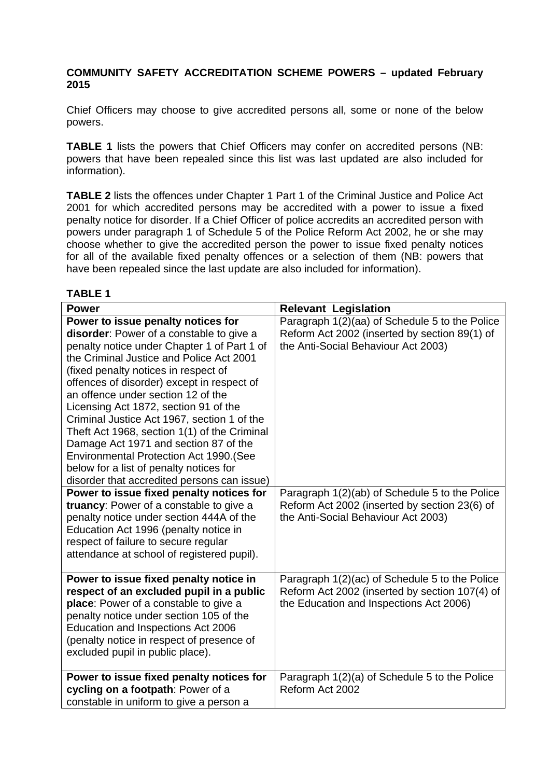## **COMMUNITY SAFETY ACCREDITATION SCHEME POWERS – updated February 2015**

Chief Officers may choose to give accredited persons all, some or none of the below powers.

**TABLE 1** lists the powers that Chief Officers may confer on accredited persons (NB: powers that have been repealed since this list was last updated are also included for information).

**TABLE 2** lists the offences under Chapter 1 Part 1 of the Criminal Justice and Police Act 2001 for which accredited persons may be accredited with a power to issue a fixed penalty notice for disorder. If a Chief Officer of police accredits an accredited person with powers under paragraph 1 of Schedule 5 of the Police Reform Act 2002, he or she may choose whether to give the accredited person the power to issue fixed penalty notices for all of the available fixed penalty offences or a selection of them (NB: powers that have been repealed since the last update are also included for information).

**TABLE 1**

| <b>Power</b>                                                                                                                                                                                                                                                                                                                                                                                                                                                                                                                                                                                                                       | <b>Relevant Legislation</b>                                                                                                                 |
|------------------------------------------------------------------------------------------------------------------------------------------------------------------------------------------------------------------------------------------------------------------------------------------------------------------------------------------------------------------------------------------------------------------------------------------------------------------------------------------------------------------------------------------------------------------------------------------------------------------------------------|---------------------------------------------------------------------------------------------------------------------------------------------|
| Power to issue penalty notices for<br>disorder: Power of a constable to give a<br>penalty notice under Chapter 1 of Part 1 of<br>the Criminal Justice and Police Act 2001<br>(fixed penalty notices in respect of<br>offences of disorder) except in respect of<br>an offence under section 12 of the<br>Licensing Act 1872, section 91 of the<br>Criminal Justice Act 1967, section 1 of the<br>Theft Act 1968, section 1(1) of the Criminal<br>Damage Act 1971 and section 87 of the<br><b>Environmental Protection Act 1990. (See</b><br>below for a list of penalty notices for<br>disorder that accredited persons can issue) | Paragraph 1(2)(aa) of Schedule 5 to the Police<br>Reform Act 2002 (inserted by section 89(1) of<br>the Anti-Social Behaviour Act 2003)      |
| Power to issue fixed penalty notices for<br>truancy: Power of a constable to give a<br>penalty notice under section 444A of the<br>Education Act 1996 (penalty notice in<br>respect of failure to secure regular<br>attendance at school of registered pupil).                                                                                                                                                                                                                                                                                                                                                                     | Paragraph 1(2)(ab) of Schedule 5 to the Police<br>Reform Act 2002 (inserted by section 23(6) of<br>the Anti-Social Behaviour Act 2003)      |
| Power to issue fixed penalty notice in<br>respect of an excluded pupil in a public<br>place: Power of a constable to give a<br>penalty notice under section 105 of the<br>Education and Inspections Act 2006<br>(penalty notice in respect of presence of<br>excluded pupil in public place).                                                                                                                                                                                                                                                                                                                                      | Paragraph 1(2)(ac) of Schedule 5 to the Police<br>Reform Act 2002 (inserted by section 107(4) of<br>the Education and Inspections Act 2006) |
| Power to issue fixed penalty notices for<br>cycling on a footpath: Power of a<br>constable in uniform to give a person a                                                                                                                                                                                                                                                                                                                                                                                                                                                                                                           | Paragraph 1(2)(a) of Schedule 5 to the Police<br>Reform Act 2002                                                                            |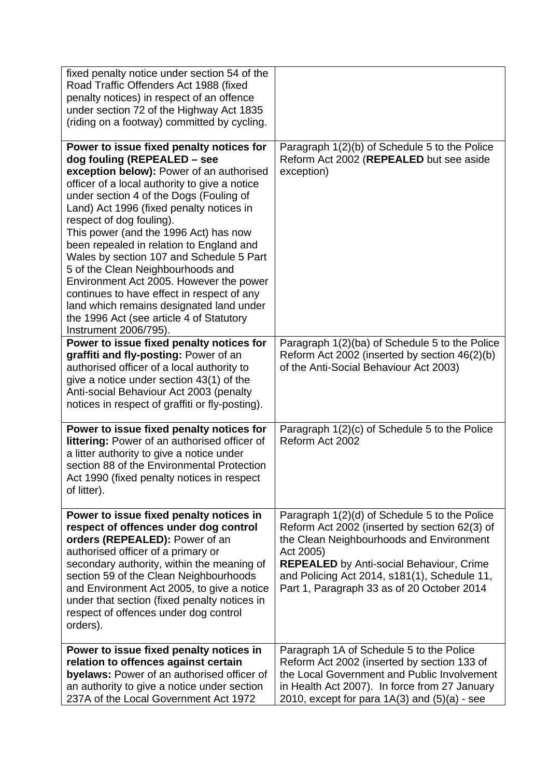| fixed penalty notice under section 54 of the<br>Road Traffic Offenders Act 1988 (fixed<br>penalty notices) in respect of an offence<br>under section 72 of the Highway Act 1835<br>(riding on a footway) committed by cycling.                                                                                                                                                                                                                                                                                                                                                                                                                                          |                                                                                                                                                                                                                                                                                                          |
|-------------------------------------------------------------------------------------------------------------------------------------------------------------------------------------------------------------------------------------------------------------------------------------------------------------------------------------------------------------------------------------------------------------------------------------------------------------------------------------------------------------------------------------------------------------------------------------------------------------------------------------------------------------------------|----------------------------------------------------------------------------------------------------------------------------------------------------------------------------------------------------------------------------------------------------------------------------------------------------------|
| Power to issue fixed penalty notices for<br>dog fouling (REPEALED - see<br>exception below): Power of an authorised<br>officer of a local authority to give a notice<br>under section 4 of the Dogs (Fouling of<br>Land) Act 1996 (fixed penalty notices in<br>respect of dog fouling).<br>This power (and the 1996 Act) has now<br>been repealed in relation to England and<br>Wales by section 107 and Schedule 5 Part<br>5 of the Clean Neighbourhoods and<br>Environment Act 2005. However the power<br>continues to have effect in respect of any<br>land which remains designated land under<br>the 1996 Act (see article 4 of Statutory<br>Instrument 2006/795). | Paragraph 1(2)(b) of Schedule 5 to the Police<br>Reform Act 2002 (REPEALED but see aside<br>exception)                                                                                                                                                                                                   |
| Power to issue fixed penalty notices for<br>graffiti and fly-posting: Power of an<br>authorised officer of a local authority to<br>give a notice under section 43(1) of the<br>Anti-social Behaviour Act 2003 (penalty<br>notices in respect of graffiti or fly-posting).                                                                                                                                                                                                                                                                                                                                                                                               | Paragraph 1(2)(ba) of Schedule 5 to the Police<br>Reform Act 2002 (inserted by section 46(2)(b)<br>of the Anti-Social Behaviour Act 2003)                                                                                                                                                                |
| Power to issue fixed penalty notices for<br>littering: Power of an authorised officer of<br>a litter authority to give a notice under<br>section 88 of the Environmental Protection<br>Act 1990 (fixed penalty notices in respect<br>of litter).                                                                                                                                                                                                                                                                                                                                                                                                                        | Paragraph 1(2)(c) of Schedule 5 to the Police<br>Reform Act 2002                                                                                                                                                                                                                                         |
| Power to issue fixed penalty notices in<br>respect of offences under dog control<br>orders (REPEALED): Power of an<br>authorised officer of a primary or<br>secondary authority, within the meaning of<br>section 59 of the Clean Neighbourhoods<br>and Environment Act 2005, to give a notice<br>under that section (fixed penalty notices in<br>respect of offences under dog control<br>orders).                                                                                                                                                                                                                                                                     | Paragraph 1(2)(d) of Schedule 5 to the Police<br>Reform Act 2002 (inserted by section 62(3) of<br>the Clean Neighbourhoods and Environment<br>Act 2005)<br><b>REPEALED</b> by Anti-social Behaviour, Crime<br>and Policing Act 2014, s181(1), Schedule 11,<br>Part 1, Paragraph 33 as of 20 October 2014 |
| Power to issue fixed penalty notices in<br>relation to offences against certain<br>byelaws: Power of an authorised officer of<br>an authority to give a notice under section<br>237A of the Local Government Act 1972                                                                                                                                                                                                                                                                                                                                                                                                                                                   | Paragraph 1A of Schedule 5 to the Police<br>Reform Act 2002 (inserted by section 133 of<br>the Local Government and Public Involvement<br>in Health Act 2007). In force from 27 January<br>2010, except for para $1A(3)$ and $(5)(a)$ - see                                                              |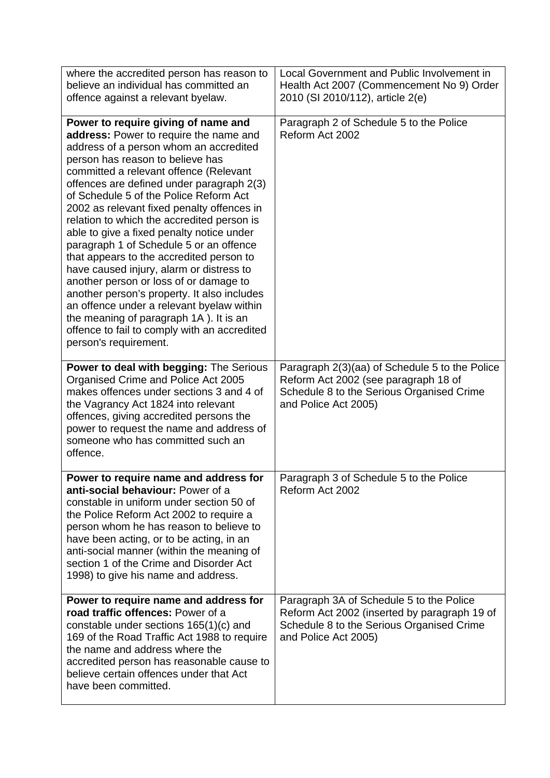| where the accredited person has reason to<br>believe an individual has committed an<br>offence against a relevant byelaw.                                                                                                                                                                                                                                                                                                                                                                                                                                                                                                                                                                                                                                                                                                         | Local Government and Public Involvement in<br>Health Act 2007 (Commencement No 9) Order<br>2010 (SI 2010/112), article 2(e)                                   |
|-----------------------------------------------------------------------------------------------------------------------------------------------------------------------------------------------------------------------------------------------------------------------------------------------------------------------------------------------------------------------------------------------------------------------------------------------------------------------------------------------------------------------------------------------------------------------------------------------------------------------------------------------------------------------------------------------------------------------------------------------------------------------------------------------------------------------------------|---------------------------------------------------------------------------------------------------------------------------------------------------------------|
| Power to require giving of name and<br>address: Power to require the name and<br>address of a person whom an accredited<br>person has reason to believe has<br>committed a relevant offence (Relevant<br>offences are defined under paragraph 2(3)<br>of Schedule 5 of the Police Reform Act<br>2002 as relevant fixed penalty offences in<br>relation to which the accredited person is<br>able to give a fixed penalty notice under<br>paragraph 1 of Schedule 5 or an offence<br>that appears to the accredited person to<br>have caused injury, alarm or distress to<br>another person or loss of or damage to<br>another person's property. It also includes<br>an offence under a relevant byelaw within<br>the meaning of paragraph 1A). It is an<br>offence to fail to comply with an accredited<br>person's requirement. | Paragraph 2 of Schedule 5 to the Police<br>Reform Act 2002                                                                                                    |
| <b>Power to deal with begging: The Serious</b><br>Organised Crime and Police Act 2005<br>makes offences under sections 3 and 4 of<br>the Vagrancy Act 1824 into relevant<br>offences, giving accredited persons the<br>power to request the name and address of<br>someone who has committed such an<br>offence.                                                                                                                                                                                                                                                                                                                                                                                                                                                                                                                  | Paragraph 2(3)(aa) of Schedule 5 to the Police<br>Reform Act 2002 (see paragraph 18 of<br>Schedule 8 to the Serious Organised Crime<br>and Police Act 2005)   |
| Power to require name and address for<br>anti-social behaviour: Power of a<br>constable in uniform under section 50 of<br>the Police Reform Act 2002 to require a<br>person whom he has reason to believe to<br>have been acting, or to be acting, in an<br>anti-social manner (within the meaning of<br>section 1 of the Crime and Disorder Act<br>1998) to give his name and address.                                                                                                                                                                                                                                                                                                                                                                                                                                           | Paragraph 3 of Schedule 5 to the Police<br>Reform Act 2002                                                                                                    |
| Power to require name and address for<br>road traffic offences: Power of a<br>constable under sections 165(1)(c) and<br>169 of the Road Traffic Act 1988 to require<br>the name and address where the<br>accredited person has reasonable cause to<br>believe certain offences under that Act<br>have been committed.                                                                                                                                                                                                                                                                                                                                                                                                                                                                                                             | Paragraph 3A of Schedule 5 to the Police<br>Reform Act 2002 (inserted by paragraph 19 of<br>Schedule 8 to the Serious Organised Crime<br>and Police Act 2005) |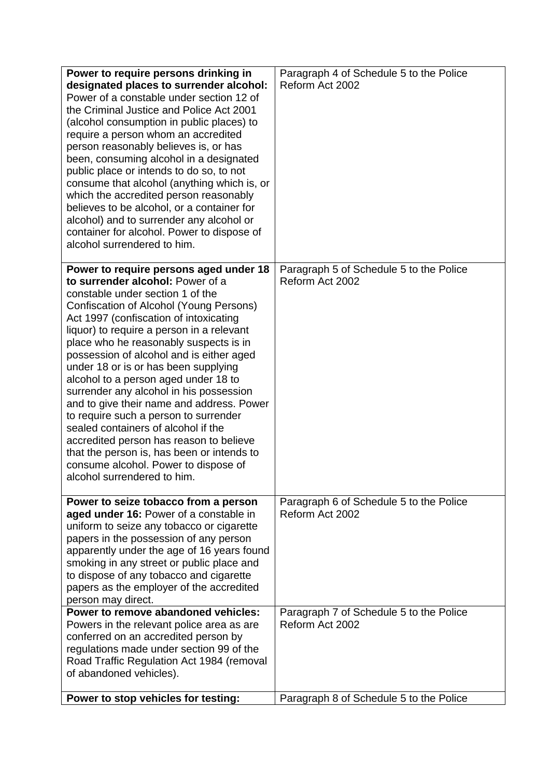| Power to require persons drinking in<br>designated places to surrender alcohol:<br>Power of a constable under section 12 of<br>the Criminal Justice and Police Act 2001<br>(alcohol consumption in public places) to<br>require a person whom an accredited<br>person reasonably believes is, or has<br>been, consuming alcohol in a designated<br>public place or intends to do so, to not<br>consume that alcohol (anything which is, or<br>which the accredited person reasonably<br>believes to be alcohol, or a container for<br>alcohol) and to surrender any alcohol or<br>container for alcohol. Power to dispose of<br>alcohol surrendered to him.                                                                                                   | Paragraph 4 of Schedule 5 to the Police<br>Reform Act 2002 |
|---------------------------------------------------------------------------------------------------------------------------------------------------------------------------------------------------------------------------------------------------------------------------------------------------------------------------------------------------------------------------------------------------------------------------------------------------------------------------------------------------------------------------------------------------------------------------------------------------------------------------------------------------------------------------------------------------------------------------------------------------------------|------------------------------------------------------------|
| Power to require persons aged under 18<br>to surrender alcohol: Power of a<br>constable under section 1 of the<br>Confiscation of Alcohol (Young Persons)<br>Act 1997 (confiscation of intoxicating<br>liquor) to require a person in a relevant<br>place who he reasonably suspects is in<br>possession of alcohol and is either aged<br>under 18 or is or has been supplying<br>alcohol to a person aged under 18 to<br>surrender any alcohol in his possession<br>and to give their name and address. Power<br>to require such a person to surrender<br>sealed containers of alcohol if the<br>accredited person has reason to believe<br>that the person is, has been or intends to<br>consume alcohol. Power to dispose of<br>alcohol surrendered to him | Paragraph 5 of Schedule 5 to the Police<br>Reform Act 2002 |
| Power to seize tobacco from a person<br>aged under 16: Power of a constable in<br>uniform to seize any tobacco or cigarette<br>papers in the possession of any person<br>apparently under the age of 16 years found<br>smoking in any street or public place and<br>to dispose of any tobacco and cigarette<br>papers as the employer of the accredited<br>person may direct.                                                                                                                                                                                                                                                                                                                                                                                 | Paragraph 6 of Schedule 5 to the Police<br>Reform Act 2002 |
| Power to remove abandoned vehicles:<br>Powers in the relevant police area as are<br>conferred on an accredited person by<br>regulations made under section 99 of the<br>Road Traffic Regulation Act 1984 (removal<br>of abandoned vehicles).                                                                                                                                                                                                                                                                                                                                                                                                                                                                                                                  | Paragraph 7 of Schedule 5 to the Police<br>Reform Act 2002 |
| Power to stop vehicles for testing:                                                                                                                                                                                                                                                                                                                                                                                                                                                                                                                                                                                                                                                                                                                           | Paragraph 8 of Schedule 5 to the Police                    |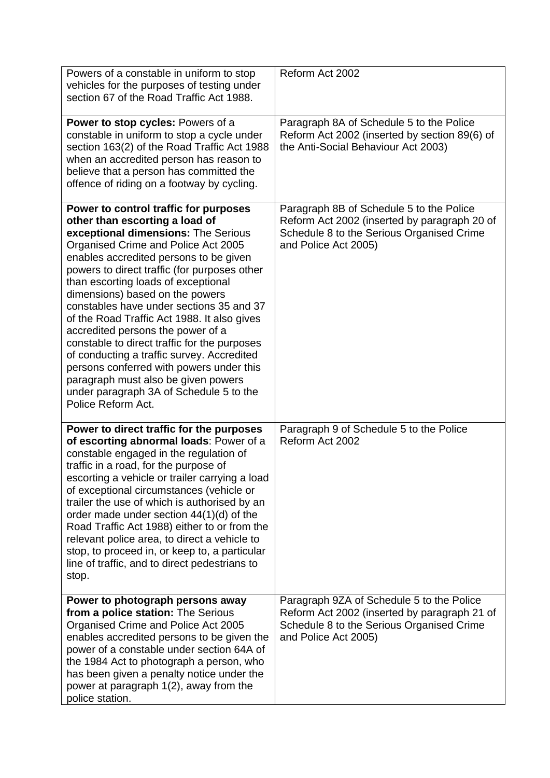| Powers of a constable in uniform to stop<br>vehicles for the purposes of testing under<br>section 67 of the Road Traffic Act 1988.                                                                                                                                                                                                                                                                                                                                                                                                                                                                                                                                                                          | Reform Act 2002                                                                                                                                                |
|-------------------------------------------------------------------------------------------------------------------------------------------------------------------------------------------------------------------------------------------------------------------------------------------------------------------------------------------------------------------------------------------------------------------------------------------------------------------------------------------------------------------------------------------------------------------------------------------------------------------------------------------------------------------------------------------------------------|----------------------------------------------------------------------------------------------------------------------------------------------------------------|
| Power to stop cycles: Powers of a<br>constable in uniform to stop a cycle under<br>section 163(2) of the Road Traffic Act 1988<br>when an accredited person has reason to<br>believe that a person has committed the<br>offence of riding on a footway by cycling.                                                                                                                                                                                                                                                                                                                                                                                                                                          | Paragraph 8A of Schedule 5 to the Police<br>Reform Act 2002 (inserted by section 89(6) of<br>the Anti-Social Behaviour Act 2003)                               |
| Power to control traffic for purposes<br>other than escorting a load of<br>exceptional dimensions: The Serious<br>Organised Crime and Police Act 2005<br>enables accredited persons to be given<br>powers to direct traffic (for purposes other<br>than escorting loads of exceptional<br>dimensions) based on the powers<br>constables have under sections 35 and 37<br>of the Road Traffic Act 1988. It also gives<br>accredited persons the power of a<br>constable to direct traffic for the purposes<br>of conducting a traffic survey. Accredited<br>persons conferred with powers under this<br>paragraph must also be given powers<br>under paragraph 3A of Schedule 5 to the<br>Police Reform Act. | Paragraph 8B of Schedule 5 to the Police<br>Reform Act 2002 (inserted by paragraph 20 of<br>Schedule 8 to the Serious Organised Crime<br>and Police Act 2005)  |
| Power to direct traffic for the purposes<br>of escorting abnormal loads: Power of a<br>constable engaged in the regulation of<br>traffic in a road, for the purpose of<br>escorting a vehicle or trailer carrying a load<br>of exceptional circumstances (vehicle or<br>trailer the use of which is authorised by an<br>order made under section $44(1)(d)$ of the<br>Road Traffic Act 1988) either to or from the<br>relevant police area, to direct a vehicle to<br>stop, to proceed in, or keep to, a particular<br>line of traffic, and to direct pedestrians to<br>stop.                                                                                                                               | Paragraph 9 of Schedule 5 to the Police<br>Reform Act 2002                                                                                                     |
| Power to photograph persons away<br>from a police station: The Serious<br>Organised Crime and Police Act 2005<br>enables accredited persons to be given the<br>power of a constable under section 64A of<br>the 1984 Act to photograph a person, who<br>has been given a penalty notice under the<br>power at paragraph 1(2), away from the<br>police station.                                                                                                                                                                                                                                                                                                                                              | Paragraph 9ZA of Schedule 5 to the Police<br>Reform Act 2002 (inserted by paragraph 21 of<br>Schedule 8 to the Serious Organised Crime<br>and Police Act 2005) |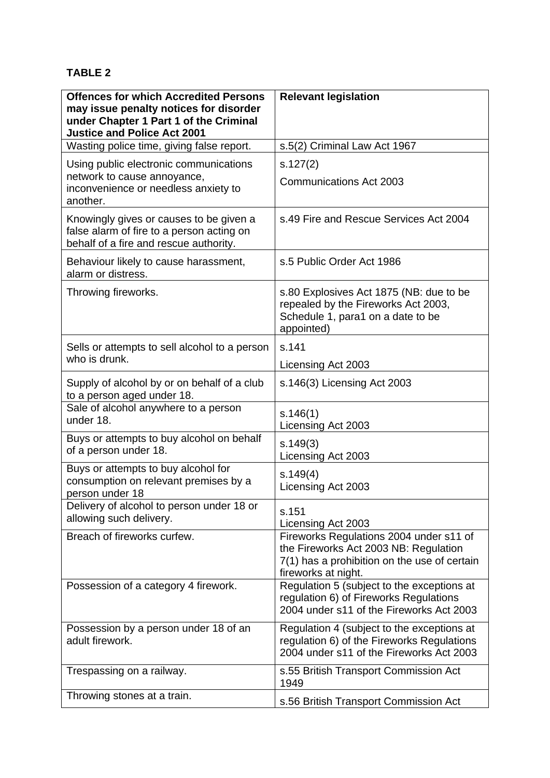## **TABLE 2**

| <b>Offences for which Accredited Persons</b><br>may issue penalty notices for disorder<br>under Chapter 1 Part 1 of the Criminal<br><b>Justice and Police Act 2001</b> | <b>Relevant legislation</b>                                                                                                                             |
|------------------------------------------------------------------------------------------------------------------------------------------------------------------------|---------------------------------------------------------------------------------------------------------------------------------------------------------|
| Wasting police time, giving false report.                                                                                                                              | s.5(2) Criminal Law Act 1967                                                                                                                            |
| Using public electronic communications<br>network to cause annoyance,<br>inconvenience or needless anxiety to<br>another.                                              | s.127(2)<br><b>Communications Act 2003</b>                                                                                                              |
| Knowingly gives or causes to be given a<br>false alarm of fire to a person acting on<br>behalf of a fire and rescue authority.                                         | s.49 Fire and Rescue Services Act 2004                                                                                                                  |
| Behaviour likely to cause harassment,<br>alarm or distress.                                                                                                            | s.5 Public Order Act 1986                                                                                                                               |
| Throwing fireworks.                                                                                                                                                    | s.80 Explosives Act 1875 (NB: due to be<br>repealed by the Fireworks Act 2003,<br>Schedule 1, para1 on a date to be<br>appointed)                       |
| Sells or attempts to sell alcohol to a person<br>who is drunk.                                                                                                         | s.141                                                                                                                                                   |
|                                                                                                                                                                        | Licensing Act 2003                                                                                                                                      |
| Supply of alcohol by or on behalf of a club<br>to a person aged under 18.                                                                                              | s.146(3) Licensing Act 2003                                                                                                                             |
| Sale of alcohol anywhere to a person<br>under 18.                                                                                                                      | s.146(1)<br>Licensing Act 2003                                                                                                                          |
| Buys or attempts to buy alcohol on behalf<br>of a person under 18.                                                                                                     | s.149(3)<br>Licensing Act 2003                                                                                                                          |
| Buys or attempts to buy alcohol for<br>consumption on relevant premises by a<br>person under 18                                                                        | s.149(4)<br>Licensing Act 2003                                                                                                                          |
| Delivery of alcohol to person under 18 or<br>allowing such delivery.                                                                                                   | s.151<br>Licensing Act 2003                                                                                                                             |
| Breach of fireworks curfew.                                                                                                                                            | Fireworks Regulations 2004 under s11 of<br>the Fireworks Act 2003 NB: Regulation<br>7(1) has a prohibition on the use of certain<br>fireworks at night. |
| Possession of a category 4 firework.                                                                                                                                   | Regulation 5 (subject to the exceptions at<br>regulation 6) of Fireworks Regulations<br>2004 under s11 of the Fireworks Act 2003                        |
| Possession by a person under 18 of an<br>adult firework.                                                                                                               | Regulation 4 (subject to the exceptions at<br>regulation 6) of the Fireworks Regulations<br>2004 under s11 of the Fireworks Act 2003                    |
| Trespassing on a railway.                                                                                                                                              | s.55 British Transport Commission Act<br>1949                                                                                                           |
| Throwing stones at a train.                                                                                                                                            | s.56 British Transport Commission Act                                                                                                                   |